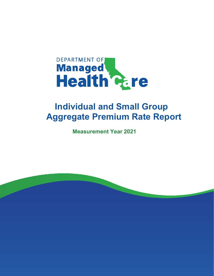

# **Individual and Small Group Aggregate Premium Rate Report**

**Measurement Year 2021**

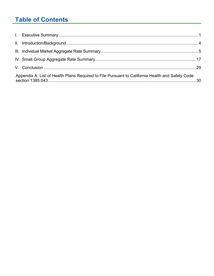## **Table of Contents**

| Appendix A: List of Health Plans Required to File Pursuant to California Health and Safety Code |  |
|-------------------------------------------------------------------------------------------------|--|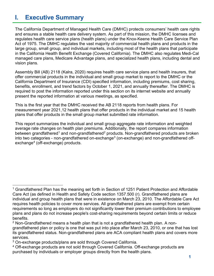## **I. Executive Summary**

The California Department of Managed Health Care (DMHC) protects consumers' health care rights and ensures a stable health care delivery system. As part of this mission, the DMHC licenses and regulates health care service plans (health plans) under the Knox-Keene Health Care Service Plan Act of 1975. The DMHC regulates the vast majority of commercial health plans and products in the large group, small group, and individual markets, including most of the health plans that participate in the California Health Benefit Exchange (Covered California). The DMHC also regulates Medi-Cal managed care plans, Medicare Advantage plans, and specialized health plans, including dental and vision plans.

Assembly Bill (AB) 2118 (Kalra, 2020) requires health care service plans and health insurers, that offer commercial products in the individual and small group market to report to the DMHC or the California Department of Insurance (CDI) specified information, including premiums, cost sharing, benefits, enrollment, and trend factors by October 1, 2021, and annually thereafter. The DMHC is required to post the information reported under this section on its internet website and annually present the reported information at various meetings, as specified.

This is the first year that the DMHC received the AB 2118 reports from health plans. For measurement year 2021,12 health plans that offer products in the individual market and 15 health plans that offer products in the small group market submitted rate information.

This report summarizes the individual and small group aggregate rate information and weighted average rate changes on health plan premiums. Additionally, the report compares information between grandfathered<sup>1</sup> and non-grandfathered<sup>2</sup> products. Non-grandfathered products are broken into two categories - non-grandfathered on-exchange<sup>3</sup> (on-exchange) and non-grandfathered offexchange<sup>4</sup> (off-exchange) products.

<sup>1</sup> Grandfathered Plan has the meaning set forth in Section of 1251 Patient Protection and Affordable Care Act (as defined in Health and Safety Code section 1357.500 (r). Grandfathered plans are individual and group health plans that were in existence on March 23, 2010. The Affordable Care Act requires health policies to cover more services. All grandfathered plans are exempt from certain requirements so long as employers do not significantly lower their premium contributions to employee plans and plans do not increase people's cost-sharing requirements beyond certain limits or reduce benefits.<br><sup>2</sup> Non-Grandfathered means a health plan that is not a grandfathered health plan. A non-

grandfathered plan or policy is one that was put into place after March 23, 2010, or one that has lost its grandfathered status. Non-grandfathered plans are ACA compliant health plans and covers more services.

 $^3$  On-exchange products/plans are sold through Covered California.<br> $^4$  Off-exchange products are not sold through Covered California. Off-exchange products are purchased by individuals or employer groups directly from the health plans.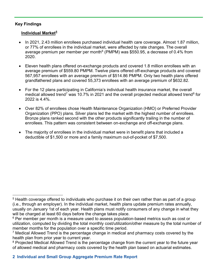## **Key Findings**

## **Individual Market<sup>5</sup>**

- In 2021, 2.43 million enrollees purchased individual health care coverage. Almost 1.87 million, or 77% of enrollees in the individual market, were affected by rate changes. The overall average premium per member per month<sup>6</sup> (PMPM) was \$550.95, a decrease of 0.4% from 2020.
- Eleven health plans offered on-exchange products and covered 1.8 million enrollees with an average premium of \$559.80 PMPM. Twelve plans offered off-exchange products and covered 567,957 enrollees with an average premium of \$514.86 PMPM. Only two health plans offered grandfathered plans and covered 55,373 enrollees with an average premium of \$632.82.
- For the 12 plans participating in California's individual health insurance market, the overall medical allowed trend<sup>7</sup> was 10.7% in 2021 and the overall projected medical allowed trend<sup>8</sup> for 2022 is 4.4%.
- Over 82% of enrollees chose Health Maintenance Organization (HMO) or Preferred Provider Organization (PPO) plans. Silver plans led the market with the highest number of enrollees. Bronze plans ranked second with the other products significantly trailing in the number of enrollees. This pattern was consistent between on-exchange and off-exchange plans.
- The majority of enrollees in the individual market were in benefit plans that included a deductible of \$1,500 or more and a family maximum out-of-pocket of \$7,500.

<sup>&</sup>lt;sup>5</sup> Health coverage offered to individuals who purchase it on their own rather than as part of a group (i.e., through an employer). In the individual market, health plans update premium rates annually, usually on January 1st of each year. Health plans must notify consumers of any change in what they will be charged at least 60 days before the change takes place.

 $6$  Per member per month is a measure used to assess population-based metrics such as cost or utilization, computed by dividing the total monthly cost/utilization/other measure by the total number of member months for the population over a specific time period.

<sup>7</sup> Medical Allowed Trend is the percentage change in medical and pharmacy costs covered by the health plan from prior year to current year.

<sup>&</sup>lt;sup>8</sup> Projected Medical Allowed Trend is the percentage change from the current year to the future year of allowed medical and pharmacy costs covered by the health plan based on actuarial estimates.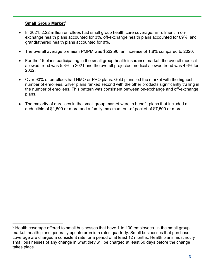## **Small Group Market**<sup>9</sup>

- In 2021, 2.22 million enrollees had small group health care coverage. Enrollment in onexchange health plans accounted for 3%, off-exchange health plans accounted for 89%, and grandfathered health plans accounted for 8%.
- The overall average premium PMPM was \$532.90, an increase of 1.8% compared to 2020.
- For the 15 plans participating in the small group health insurance market, the overall medical allowed trend was 5.3% in 2021 and the overall projected medical allowed trend was 4.6% for 2022.
- Over 90% of enrollees had HMO or PPO plans. Gold plans led the market with the highest number of enrollees. Silver plans ranked second with the other products significantly trailing in the number of enrollees. This pattern was consistent between on-exchange and off-exchange plans.
- The majority of enrollees in the small group market were in benefit plans that included a deductible of \$1,500 or more and a family maximum out-of-pocket of \$7,500 or more.

 $9$  Health coverage offered to small businesses that have 1 to 100 employees. In the small group market, health plans generally update premium rates quarterly. Small businesses that purchase coverage are charged a consistent rate for a period of at least 12 months. Health plans must notify small businesses of any change in what they will be charged at least 60 days before the change takes place.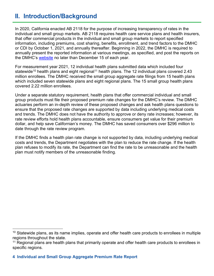## **II. Introduction/Background**

In 2020, California enacted AB 2118 for the purpose of increasing transparency of rates in the individual and small group markets. AB 2118 requires health care service plans and health insurers, that offer commercial products in the individual and small group markets to report specified information, including premiums, cost sharing, benefits, enrollment, and trend factors to the DMHC or CDI by October 1, 2021, and annually thereafter. Beginning in 2022, the DMHC is required to annually present the reported information at various meetings, as specified, and post the reports on the DMHC's [website](https://wpso.dmhc.ca.gov/premiumratereview/searchratefilings) no later than December 15 of each year.

For measurement year 2021, 12 individual health plans submitted data which included four statewide<sup>10</sup> health plans and eight regional<sup>11</sup> health plans. The 12 individual plans covered 2.43 million enrollees. The DMHC received the small group aggregate rate filings from 15 health plans which included seven statewide plans and eight regional plans. The 15 small group health plans covered 2.22 million enrollees.

Under a separate statutory requirement, health plans that offer commercial individual and small group products must file their proposed premium rate changes for the DMHC's review. The DMHC actuaries perform an in-depth review of these proposed changes and ask health plans questions to ensure that the proposed rate changes are supported by data including underlying medical costs and trends. The DMHC does not have the authority to approve or deny rate increases; however, its rate review efforts hold health plans accountable, ensure consumers get value for their premium dollar, and help save Californian's money. The DMHC has saved consumers over \$296 million to date through the rate review program.

If the DMHC finds a health plan rate change is not supported by data, including underlying medical costs and trends, the Department negotiates with the plan to reduce the rate change. If the health plan refuses to modify its rate, the Department can find the rate to be unreasonable and the health plan must notify members of the unreasonable finding.

 $10$  Statewide plans, as its name implies, operate and offer health care products to enrollees in multiple regions throughout the state.

 $11$  Regional plans are health plans that primarily operate and offer health care products to enrollees in specific regions.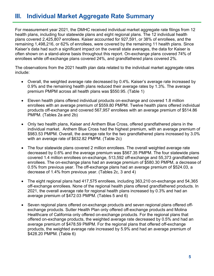## **III. Individual Market Aggregate Rate Summary**

For measurement year 2021, the DMHC received individual market aggregate rate filings from 12 health plans, including four statewide plans and eight regional plans. The 12 individual health plans covered 2,425,807 enrollees. Kaiser accounted for 927,591, or 38% of enrollees, and the remaining 1,498,216, or 62% of enrollees, were covered by the remaining 11 health plans. Since Kaiser's data had such a significant impact on the overall state averages, the data for Kaiser is often shown on a stand-alone basis throughout this report. On-exchange plans covered 74% of enrollees while off-exchange plans covered 24%, and grandfathered plans covered 2%.

The observations from the 2021 health plan data related to the individual market aggregate rates include:

- Overall, the weighted average rate decreased by 0.4%. Kaiser's average rate increased by 0.9% and the remaining health plans reduced their average rates by 1.3%. The average premium PMPM across all health plans was \$550.95. (Table 1)
- Eleven health plans offered individual products on-exchange and covered 1.8 million enrollees with an average premium of \$559.80 PMPM. Twelve health plans offered individual products off-exchange and covered 567,957 enrollees with an average premium of \$514.86 PMPM. (Tables 2a and 2b)
- Only two health plans, Kaiser and Anthem Blue Cross, offered grandfathered plans in the individual market. Anthem Blue Cross had the highest premium, with an average premium of \$983.53 PMPM. Overall, the average rate for the two grandfathered plans increased by 3.0% with an average rate of \$632.82 PMPM. (Table 2c)
- The four statewide plans covered 2 million enrollees. The overall weighted average rate decreased by 0.6% and the average premium was \$567.35 PMPM. The four statewide plans covered 1.4 million enrollees on-exchange, 513,592 off-exchange and 55,373 grandfathered enrollees. The on-exchange plans had an average premium of \$580.30 PMPM, a decrease of 0.5% from previous year. The off-exchange plans had an average premium of \$524.03, a decrease of 1.4% from previous year. (Tables 2c, 3 and 4)
- The eight regional plans had 417,575 enrollees, including 363,210 on-exchange and 54,365 off-exchange enrollees. None of the regional health plans offered grandfathered products. In 2021, the overall average rate for regional health plans increased by 0.3% and had an average premium of \$472.03 PMPM. (Tables 5 and 6)
- Seven regional plans offered on-exchange products and seven regional plans offered offexchange products. Sutter Health Plan only offered off-exchange products and Molina Healthcare of California only offered on-exchange products. For the regional plans that offered on-exchange products, the weighted average rate decreased by 0.5% and had an average premium of \$478.59 PMPM. For the regional plans that offered off-exchange products, the weighted average rate increased by 5.9% and had an average premium of \$428.20 PMPM. (Table 6)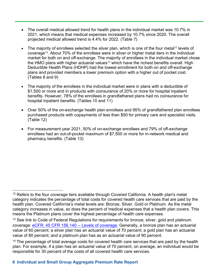- The overall medical allowed trend for health plans in the individual market was 10.7% in 2021, which means that medical expenses increased by 10.7% since 2020. The overall projected medical allowed trend is 4.4% for 2022. (Table 7)
- The majority of enrollees selected the silver plan, which is one of the four metal<sup>12</sup> levels of coverage13. About 70% of the enrollees were in silver or higher metal tiers in the individual market for both on and off-exchange. The majority of enrollees in the individual market chose the HMO plans with higher actuarial values<sup>14</sup> which have the richest benefits overall. High Deductible Health Plans (HDHP) had the lowest enrollment for both on and off-exchange plans and provided members a lower premium option with a higher out of pocket cost. (Tables 8 and 9)
- The majority of the enrollees in the individual market were in plans with a deductible of \$1,500 or more and in products with coinsurance of 20% or more for hospital inpatient benefits. However, 78% of the enrollees in grandfathered plans had no coinsurance for hospital inpatient benefits. (Tables 10 and 11)
- Over 50% of the on-exchange health plan enrollees and 95% of grandfathered plan enrollees purchased products with copayments of less than \$50 for primary care and specialist visits. (Table 12)
- For measurement year 2021, 50% of on-exchange enrollees and 79% of off-exchange enrollees had an out-of-pocket maximum of \$7,500 or more for in-network medical and pharmacy benefits. (Table 13)

 $12$  Refers to the four coverage tiers available through Covered California. A health plan's metal category indicates the percentage of total costs for covered health care services that are paid by the health plan. Covered California's metal levels are: Bronze, Silver, Gold or Platinum. As the metal category increases in value, so does the percent of medical expenses that a health plan covers. This means the Platinum plans cover the highest percentage of health care expenses.

 $13$  See link to Code of Federal Regulations for requirements for bronze, silver, gold and platinum coverage: [eCFR: 45 CFR 156.140](https://www.ecfr.gov/current/title-45/subtitle-A/subchapter-B/part-156/subpart-B/section-156.140) -- Levels of coverage. Generally, a bronze plan has an actuarial value of 60 percent; a silver plan has an actuarial value of 70 percent; a gold plan has an actuarial value of 80 percent; and a platinum plan has as an actuarial value of 90 percent.

<sup>&</sup>lt;sup>14</sup> The percentage of total average costs for covered health care services that are paid by the health plan. For example, if a plan has an actuarial value of 70 percent, on average, an individual would be responsible for 30 percent of the costs of all covered health care services.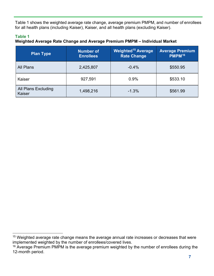Table 1 shows the weighted average rate change, average premium PMPM, and number of enrollees for all health plans (including Kaiser), Kaiser, and all health plans (excluding Kaiser).

## **Table 1**

## **Weighted Average Rate Change and Average Premium PMPM – Individual Market**

| <b>Plan Type</b>                     | <b>Number of</b><br><b>Enrollees</b> | <b>Weighted<sup>15</sup></b> Average<br><b>Rate Change</b> | <b>Average Premium</b><br>PMPM <sup>16</sup> |  |
|--------------------------------------|--------------------------------------|------------------------------------------------------------|----------------------------------------------|--|
| All Plans                            | 2,425,807                            | $-0.4%$                                                    | \$550.95                                     |  |
| Kaiser                               | 927,591                              | 0.9%                                                       | \$533.10                                     |  |
| <b>All Plans Excluding</b><br>Kaiser | 1,498,216                            | $-1.3%$                                                    | \$561.99                                     |  |

 $15$  Weighted average rate change means the average annual rate increases or decreases that were implemented weighted by the number of enrollees/covered lives.

 $16$  Average Premium PMPM is the average premium weighted by the number of enrollees during the 12-month period.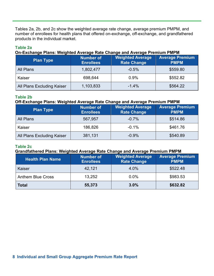Tables 2a, 2b, and 2c show the weighted average rate change, average premium PMPM, and number of enrollees for health plans that offered on-exchange, off-exchange, and grandfathered products in the individual market.

## **Table 2a**

## **On-Exchange Plans: Weighted Average Rate Change and Average Premium PMPM**

| <b>Plan Type</b>           | <b>Number of</b><br><b>Enrollees</b> | <b>Weighted Average</b><br><b>Rate Change</b> | <b>Average Premium</b><br><b>PMPM</b> |
|----------------------------|--------------------------------------|-----------------------------------------------|---------------------------------------|
| All Plans                  | 1,802,477                            | $-0.5%$                                       | \$559.80                              |
| Kaiser                     | 698,644                              | 0.9%                                          | \$552.82                              |
| All Plans Excluding Kaiser | 1,103,833                            | $-1.4%$                                       | \$564.22                              |

## **Table 2b**

## **Off-Exchange Plans: Weighted Average Rate Change and Average Premium PMPM**

| <b>Plan Type</b>           | <b>Number of</b><br><b>Enrollees</b> | <b>Weighted Average</b><br><b>Rate Change</b> | <b>Average Premium</b><br><b>PMPM</b> |
|----------------------------|--------------------------------------|-----------------------------------------------|---------------------------------------|
| All Plans                  | 567,957                              | $-0.7%$                                       | \$514.86                              |
| Kaiser                     | 186,826                              | $-0.1%$                                       | \$461.76                              |
| All Plans Excluding Kaiser | 381,131                              | $-0.9%$                                       | \$540.89                              |

## **Table 2c**

#### **Grandfathered Plans: Weighted Average Rate Change and Average Premium PMPM**

| <b>Health Plan Name</b>  | <b>Number of</b><br><b>Enrollees</b> | <b>Weighted Average</b><br><b>Rate Change</b> | <b>Average Premium</b><br><b>PMPM</b> |
|--------------------------|--------------------------------------|-----------------------------------------------|---------------------------------------|
| Kaiser                   | 42,121                               | 4.0%                                          | \$522.48                              |
| <b>Anthem Blue Cross</b> | 13,252                               | 0.0%                                          | \$983.53                              |
| <b>Total</b>             | 55,373                               | 3.0%                                          | \$632.82                              |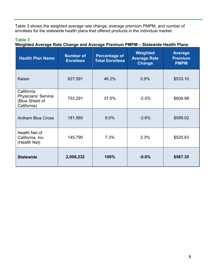Table 3 shows the weighted average rate change, average premium PMPM, and number of enrollees for the statewide health plans that offered products in the individual market.

## **Table 3**

**Weighted Average Rate Change and Average Premium PMPM – Statewide Health Plans**

| <b>Health Plan Name</b>                                             | Weighted<br><b>Number of</b><br><b>Percentage of</b><br><b>Average Rate</b><br><b>Total Enrollees</b><br><b>Enrollees</b><br><b>Change</b> |       | <b>Average</b><br><b>Premium</b><br><b>PMPM</b> |          |
|---------------------------------------------------------------------|--------------------------------------------------------------------------------------------------------------------------------------------|-------|-------------------------------------------------|----------|
| Kaiser<br>927,591                                                   |                                                                                                                                            | 46.2% | 0.9%                                            | \$533.10 |
| California<br>Physicians' Service<br>(Blue Shield of<br>California) | 753,291                                                                                                                                    | 37.5% | $-2.5%$                                         | \$609.98 |
| <b>Anthem Blue Cross</b>                                            | 181,560                                                                                                                                    | 9.0%  | $-2.6%$                                         | \$599.02 |
| Health Net of<br>California, Inc.<br>(Health Net)                   | 145,790                                                                                                                                    | 7.3%  | 2.3%                                            | \$525.63 |
| <b>Statewide</b>                                                    | 2,008,232                                                                                                                                  | 100%  | $-0.6%$                                         | \$567.35 |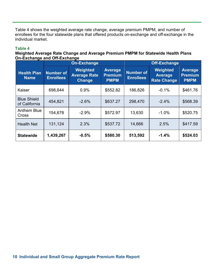Table 4 shows the weighted average rate change, average premium PMPM, and number of enrollees for the four statewide plans that offered products on-exchange and off-exchange in the individual market.

#### **Table 4**

## **Weighted Average Rate Change and Average Premium PMPM for Statewide Health Plans On-Exchange and Off-Exchange**

|                                     |                                      | <b>On-Exchange</b>                                      |                                                 | <b>Off-Exchange</b>                  |                                                  |                                                 |  |
|-------------------------------------|--------------------------------------|---------------------------------------------------------|-------------------------------------------------|--------------------------------------|--------------------------------------------------|-------------------------------------------------|--|
| <b>Health Plan</b><br><b>Name</b>   | <b>Number of</b><br><b>Enrollees</b> | <b>Weighted</b><br><b>Average Rate</b><br><b>Change</b> | <b>Average</b><br><b>Premium</b><br><b>PMPM</b> | <b>Number of</b><br><b>Enrollees</b> | Weighted<br><b>Average</b><br><b>Rate Change</b> | <b>Average</b><br><b>Premium</b><br><b>PMPM</b> |  |
| Kaiser                              | 698,644                              | 0.9%                                                    | \$552.82                                        | 186,826                              | $-0.1%$                                          | \$461.76                                        |  |
| <b>Blue Shield</b><br>of California | 454,821                              | $-2.6%$                                                 | \$637.27                                        | 298,470                              | $-2.4%$                                          | \$568.39                                        |  |
| Anthem Blue<br>Cross                | 154,678                              | $-2.9%$                                                 | \$572.97                                        | 13,630                               | $-1.0%$                                          | \$520.75                                        |  |
| <b>Health Net</b>                   | 131,124                              | 2.3%                                                    | \$537.72                                        | 14,666                               | 2.5%                                             | \$417.59                                        |  |
| <b>Statewide</b>                    | 1,439,267                            | $-0.5%$                                                 | \$580.30                                        | 513,592                              | $-1.4%$                                          | \$524.03                                        |  |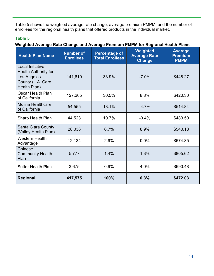Table 5 shows the weighted average rate change, average premium PMPM, and the number of enrollees for the regional health plans that offered products in the individual market.

## **Table 5**

| <b>Health Plan Name</b>                                                                             | <b>Number of</b><br><b>Enrollees</b> | <b>Percentage of</b><br><b>Total Enrollees</b> | Weighted<br><b>Average Rate</b><br><b>Change</b> | <b>Average</b><br><b>Premium</b><br><b>PMPM</b> |
|-----------------------------------------------------------------------------------------------------|--------------------------------------|------------------------------------------------|--------------------------------------------------|-------------------------------------------------|
| Local Initiative<br><b>Health Authority for</b><br>Los Angeles<br>County (L.A. Care<br>Health Plan) | 141,610                              | 33.9%                                          | $-7.0%$                                          | \$448.27                                        |
| Oscar Health Plan<br>of California                                                                  | 127,265                              | 30.5%                                          | 8.8%                                             | \$420.30                                        |
| <b>Molina Healthcare</b><br>of California                                                           | 54,555                               | 13.1%                                          | $-4.7%$                                          | \$514.84                                        |
| <b>Sharp Health Plan</b>                                                                            | 44,523                               | 10.7%                                          | $-0.4%$                                          | \$483.50                                        |
| Santa Clara County<br>(Valley Health Plan)                                                          | 28,036                               | 6.7%                                           | 8.9%                                             | \$540.18                                        |
| <b>Western Health</b><br>Advantage                                                                  | 12,134                               | 2.9%                                           | 0.0%                                             | \$674.85                                        |
| Chinese<br><b>Community Health</b><br>Plan                                                          | 5,777                                | 1.4%                                           | 1.3%                                             | \$805.62                                        |
| <b>Sutter Health Plan</b>                                                                           | 3,675                                | 0.9%                                           | 4.0%                                             | \$690.48                                        |
| <b>Regional</b>                                                                                     | 417,575                              | 100%                                           | 0.3%                                             | \$472.03                                        |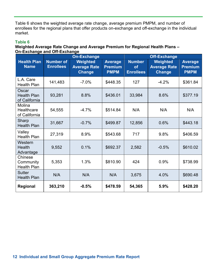Table 6 shows the weighted average rate change, average premium PMPM, and number of enrollees for the regional plans that offer products on-exchange and off-exchange in the individual market.

#### **Table 6**

#### **Weighted Average Rate Change and Average Premium for Regional Health Plans – On-Exchange and Off-Exchange**

|                                              | <b>On-Exchange</b>                   |                                                  |                                                 | <b>Off-Exchange</b>                            |                                                  |                                                 |  |
|----------------------------------------------|--------------------------------------|--------------------------------------------------|-------------------------------------------------|------------------------------------------------|--------------------------------------------------|-------------------------------------------------|--|
| <b>Health Plan</b><br><b>Name</b>            | <b>Number of</b><br><b>Enrollees</b> | Weighted<br><b>Average Rate</b><br><b>Change</b> | <b>Average</b><br><b>Premium</b><br><b>PMPM</b> | <b>Number</b><br><b>of</b><br><b>Enrollees</b> | Weighted<br><b>Average Rate</b><br><b>Change</b> | <b>Average</b><br><b>Premium</b><br><b>PMPM</b> |  |
| L.A. Care<br><b>Health Plan</b>              | 141,483                              | $-7.0%$                                          | \$448.35                                        | 127                                            | $-4.2%$                                          | \$361.84                                        |  |
| Oscar<br><b>Health Plan</b><br>of California | 93,281                               | 8.8%                                             | \$436.01                                        | 33,984                                         | 8.6%                                             | \$377.19                                        |  |
| Molina<br>Healthcare<br>of California        | 54,555                               | $-4.7%$                                          | \$514.84                                        | N/A                                            | N/A                                              | N/A                                             |  |
| Sharp<br><b>Health Plan</b>                  | 31,667                               | $-0.7%$                                          | \$499.87                                        | 12,856                                         | 0.6%                                             | \$443.18                                        |  |
| Valley<br><b>Health Plan</b>                 | 27,319                               | 8.9%                                             | \$543.68                                        | 717                                            | 9.8%                                             | \$406.59                                        |  |
| Western<br><b>Health</b><br>Advantage        | 9,552                                | 0.1%                                             | \$692.37                                        | 2,582                                          | $-0.5%$                                          | \$610.02                                        |  |
| Chinese<br>Community<br><b>Health Plan</b>   | 5,353                                | 1.3%                                             | \$810.90                                        | 424                                            | 0.9%                                             | \$738.99                                        |  |
| <b>Sutter</b><br><b>Health Plan</b>          | N/A                                  | N/A                                              | N/A                                             | 3,675                                          | 4.0%                                             | \$690.48                                        |  |
| Regional                                     | 363,210                              | $-0.5%$                                          | \$478.59                                        | 54,365                                         | 5.9%                                             | \$428.20                                        |  |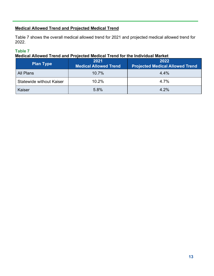## **Medical Allowed Trend and Projected Medical Trend**

Table 7 shows the overall medical allowed trend for 2021 and projected medical allowed trend for 2022.

## **Table 7**

## **Medical Allowed Trend and Projected Medical Trend for the Individual Market**

| <b>Plan Type</b>                | 2021<br><b>Medical Allowed Trend</b> | 2022<br><b>Projected Medical Allowed Trend</b> |
|---------------------------------|--------------------------------------|------------------------------------------------|
| All Plans                       | 10.7%                                | 4.4%                                           |
| <b>Statewide without Kaiser</b> | 10.2%                                | 4.7%                                           |
| Kaiser                          | 5.8%                                 | 4.2%                                           |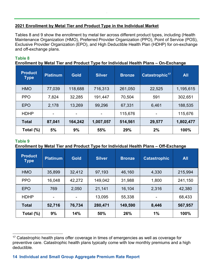## **2021 Enrollment by Metal Tier and Product Type in the Individual Market**

Tables 8 and 9 show the enrollment by metal tier across different product types, including (Health Maintenance Organization (HMO), Preferred Provider Organization (PPO), Point of Service (POS), Exclusive Provider Organization (EPO), and High Deductible Health Plan (HDHP) for on-exchange and off-exchange plans.

## **Table 8**

## **Enrollment by Metal Tier and Product Type for Individual Health Plans – On-Exchange**

| <b>Product</b><br><b>Type</b> | <b>Platinum</b>          | <b>Gold</b> | <b>Silver</b> | <b>Bronze</b> | Catastrophic <sup>17</sup> | <b>All</b> |
|-------------------------------|--------------------------|-------------|---------------|---------------|----------------------------|------------|
| <b>HMO</b>                    | 77,039                   | 118,688     | 716,313       | 261,050       | 22,525                     | 1,195,615  |
| <b>PPO</b>                    | 7,824                    | 32,285      | 191,447       | 70,504        | 591                        | 302,651    |
| <b>EPO</b>                    | 2,178                    | 13,269      | 99,296        | 67,331        | 6,461                      | 188,535    |
| <b>HDHP</b>                   | $\overline{\phantom{0}}$ | -           | ۰             | 115,676       | $\overline{\phantom{0}}$   | 115,676    |
| <b>Total</b>                  | 87,041                   | 164,242     | 1,007,057     | 514,561       | 29,577                     | 1,802,477  |
| Total (%)                     | 5%                       | 9%          | 55%           | 29%           | 2%                         | 100%       |

## **Table 9**

## **Enrollment by Metal Tier and Product Type for Individual Health Plans – Off-Exchange**

| <b>Product</b><br><b>Type</b> | <b>Platinum</b> | <b>Gold</b> | <b>Silver</b> | <b>Bronze</b> | <b>Catastrophic</b> | <b>All</b> |
|-------------------------------|-----------------|-------------|---------------|---------------|---------------------|------------|
| <b>HMO</b>                    | 35,899          | 32,412      | 97,193        | 46,160        | 4,330               | 215,994    |
| <b>PPO</b>                    | 16,048          | 42,272      | 149,042       | 31,988        | 1,800               | 241,150    |
| <b>EPO</b>                    | 769             | 2,050       | 21,141        | 16,104        | 2,316               | 42,380     |
| <b>HDHP</b>                   |                 | -           | 13,095        | 55,338        | -                   | 68,433     |
| <b>Total</b>                  | 52,716          | 76,734      | 280,471       | 149,590       | 8,446               | 567,957    |
| Total $(\%)$                  | 9%              | 14%         | 50%           | 26%           | 1%                  | 100%       |

<sup>&</sup>lt;sup>17</sup> Catastrophic health plans offer coverage in times of emergencies as well as coverage for preventive care. Catastrophic health plans typically come with low monthly premiums and a high deductible.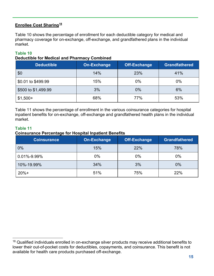## **Enrollee Cost Sharing<sup>18</sup>**

Table 10 shows the percentage of enrollment for each deductible category for medical and pharmacy coverage for on-exchange, off-exchange, and grandfathered plans in the individual market.

## **Table 10**

#### **Deductible for Medical and Pharmacy Combined**

| <b>Deductible</b>   | <b>On-Exchange</b> | <b>Off-Exchange</b> | <b>Grandfathered</b> |
|---------------------|--------------------|---------------------|----------------------|
| \$0                 | 14%                | 23%                 | 41%                  |
| \$0.01 to \$499.99  | 15%                | 0%                  | $0\%$                |
| \$500 to \$1,499.99 | 3%                 | $0\%$               | 6%                   |
| $$1,500+$           | 68%                |                     | 53%                  |

Table 11 shows the percentage of enrollment in the various coinsurance categories for hospital inpatient benefits for on-exchange, off-exchange and grandfathered health plans in the individual market.

#### **Table 11**

#### **Coinsurance Percentage for Hospital Inpatient Benefits**

| <b>Coinsurance</b> | On-Exchange | <b>Off-Exchange</b> | <b>Grandfathered</b> |
|--------------------|-------------|---------------------|----------------------|
| 0%                 | 15%         | 22%                 | 78%                  |
| $0.01\% - 9.99\%$  | $0\%$       | 0%                  | 0%                   |
| 34%<br>10%-19.99%  |             | 3%                  | 0%                   |
| $20%+$             | 51%         | 75%                 | 22%                  |

<sup>&</sup>lt;sup>18</sup> Qualified individuals enrolled in on-exchange silver products may receive additional benefits to lower their out-of-pocket costs for deductibles, copayments, and coinsurance. This benefit is not available for health care products purchased off-exchange.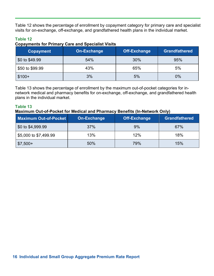Table 12 shows the percentage of enrollment by copayment category for primary care and specialist visits for on-exchange, off-exchange, and grandfathered health plans in the individual market.

## **Table 12**

#### **Copayments for Primary Care and Specialist Visits**

| <b>Copayment</b>       | On-Exchange | Off-Exchange | <b>Grandfathered</b> |
|------------------------|-------------|--------------|----------------------|
| \$0 to \$49.99         | 54%         | 30%          | 95%                  |
| 43%<br>\$50 to \$99.99 |             | 65%          | 5%                   |
| $$100+$                | 3%          | 5%           | 0%                   |

Table 13 shows the percentage of enrollment by the maximum out-of-pocket categories for innetwork medical and pharmacy benefits for on-exchange, off-exchange, and grandfathered health plans in the individual market.

## **Table 13**

#### **Maximum Out-of-Pocket for Medical and Pharmacy Benefits (In-Network Only)**

| Maximum Out-of-Pocket        | <b>On-Exchange</b> | <b>Off-Exchange</b> | <b>Grandfathered</b> |
|------------------------------|--------------------|---------------------|----------------------|
| \$0 to \$4,999.99            | 37%                | 9%                  | 67%                  |
| \$5,000 to \$7,499.99<br>13% |                    | 12%                 | 18%                  |
| $$7,500+$                    | 50%                | 79%                 | 15%                  |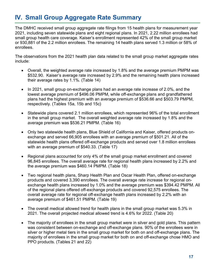## **IV. Small Group Aggregate Rate Summary**

The DMHC received small group aggregate rate filings from 15 health plans for measurement year 2021, including seven statewide plans and eight regional plans. In 2021, 2.22 million enrollees had small group health care coverage. Kaiser's enrollment represented 42% of the small group market or 930,881 of the 2.2 million enrollees. The remaining 14 health plans served 1.3 million or 58% of enrollees.

The observations from the 2021 health plan data related to the small group market aggregate rates include:

- Overall, the weighted average rate increased by 1.8% and the average premium PMPM was \$532.90. Kaiser's average rate increased by 2.9% and the remaining health plans increased their average rates by 1.1%. (Table 14)
- In 2021, small group on-exchange plans had an average rate increase of 2.0%, and the lowest average premium of \$496.06 PMPM, while off-exchange plans and grandfathered plans had the highest premium with an average premium of \$536.66 and \$503.79 PMPM, respectively. (Tables 15a, 15b and 15c)
- Statewide plans covered 2.1 million enrollees, which represented 96% of the total enrollment in the small group market. The overall weighted average rate increased by 1.8% and the average premium was \$536.21 PMPM. (Table 16)
- Only two statewide health plans, Blue Shield of California and Kaiser, offered products onexchange and served 66,905 enrollees with an average premium of \$501.21. All of the statewide health plans offered off-exchange products and served over 1.8 million enrollees with an average premium of \$540.33. (Table 17)
- Regional plans accounted for only 4% of the small group market enrollment and covered 96,845 enrollees. The overall average rate for regional health plans increased by 2.2% and the average premium was \$460.14 PMPM. (Table 18)
- Two regional health plans, Sharp Health Plan and Oscar Health Plan, offered on-exchange products and covered 3,390 enrollees. The overall average rate increase for regional onexchange health plans increased by 1.0% and the average premium was \$394.42 PMPM. All of the regional plans offered off-exchange products and covered 92,575 enrollees. The overall average rate for regional off-exchange health plans increased by 2.2% with an average premium of \$461.51 PMPM. (Table 19)
- The overall medical allowed trend for health plans in the small group market was 5.3% in 2021. The overall projected medical allowed trend is 4.6% for 2022. (Table 20)
- The majority of enrollees in the small group market were in silver and gold plans. This pattern was consistent between on-exchange and off-exchange plans. 90% of the enrollees were in silver or higher metal tiers in the small group market for both on and off-exchange plans. The majority of enrollees in the small group market for both on and off-exchange chose HMO and PPO products. (Tables 21 and 22)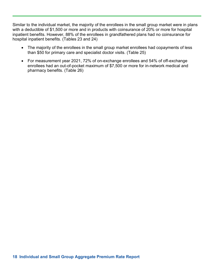Similar to the individual market, the majority of the enrollees in the small group market were in plans with a deductible of \$1,500 or more and in products with coinsurance of 20% or more for hospital inpatient benefits. However, 88% of the enrollees in grandfathered plans had no coinsurance for hospital inpatient benefits. (Tables 23 and 24)

- The majority of the enrollees in the small group market enrollees had copayments of less than \$50 for primary care and specialist doctor visits. (Table 25)
- For measurement year 2021, 72% of on-exchange enrollees and 54% of off-exchange enrollees had an out-of-pocket maximum of \$7,500 or more for in-network medical and pharmacy benefits. (Table 26)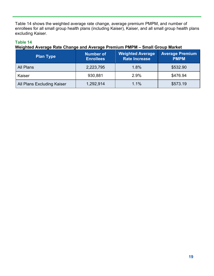Table 14 shows the weighted average rate change, average premium PMPM, and number of enrollees for all small group health plans (including Kaiser), Kaiser, and all small group health plans excluding Kaiser.

## **Table 14**

## **Weighted Average Rate Change and Average Premium PMPM – Small Group Market**

| <b>Plan Type</b>           | <b>Weighted Average</b><br><b>Number of</b><br><b>Rate Increase</b><br><b>Enrollees</b> |      | <b>Average Premium</b><br><b>PMPM</b> |  |
|----------------------------|-----------------------------------------------------------------------------------------|------|---------------------------------------|--|
| All Plans                  | 2,223,795                                                                               | 1.8% | \$532.90                              |  |
| Kaiser                     | 930,881                                                                                 | 2.9% | \$476.94                              |  |
| All Plans Excluding Kaiser | 1,292,914                                                                               | 1.1% | \$573.19                              |  |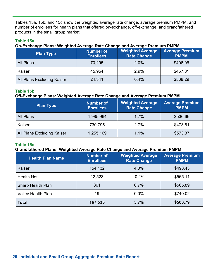Tables 15a, 15b, and 15c show the weighted average rate change, average premium PMPM, and number of enrollees for health plans that offered on-exchange, off-exchange, and grandfathered products in the small group market.

## **Table 15a**

#### **On-Exchange Plans: Weighted Average Rate Change and Average Premium PMPM**

| <b>Plan Type</b>           | <b>Number of</b><br><b>Enrollees</b> | <b>Weighted Average</b><br><b>Rate Change</b> | <b>Average Premium</b><br><b>PMPM</b> |  |
|----------------------------|--------------------------------------|-----------------------------------------------|---------------------------------------|--|
| All Plans                  | 70,295                               | 2.0%                                          | \$496.06                              |  |
| Kaiser                     | 45,954                               | 2.9%                                          | \$457.81                              |  |
| All Plans Excluding Kaiser | 24,341                               | 0.4%                                          | \$568.29                              |  |

## **Table 15b**

## **Off-Exchange Plans: Weighted Average Rate Change and Average Premium PMPM**

| <b>Plan Type</b>           | <b>Number of</b><br><b>Enrollees</b> | <b>Weighted Average</b><br><b>Rate Change</b> |          |
|----------------------------|--------------------------------------|-----------------------------------------------|----------|
| All Plans                  | 1,985,964                            | 1.7%                                          | \$536.66 |
| Kaiser                     | 730,795                              | 2.7%                                          | \$473.61 |
| All Plans Excluding Kaiser | 1,255,169                            | 1.1%                                          | \$573.37 |

#### **Table 15c**

#### **Grandfathered Plans: Weighted Average Rate Change and Average Premium PMPM**

| <b>Health Plan Name</b>  | <b>Number of</b><br><b>Enrollees</b> | <b>Weighted Average</b><br><b>Rate Change</b> | <b>Average Premium</b><br><b>PMPM</b> |
|--------------------------|--------------------------------------|-----------------------------------------------|---------------------------------------|
| Kaiser                   | 154,132                              | 4.0%                                          | \$498.43                              |
| <b>Health Net</b>        | 12,523                               | $-0.2%$                                       | \$565.11                              |
| <b>Sharp Health Plan</b> | 0.7%<br>861                          |                                               | \$565.89                              |
| Valley Health Plan       | 0.0%<br>19                           |                                               | \$740.02                              |
| <b>Total</b>             | 167,535                              | 3.7%                                          | \$503.79                              |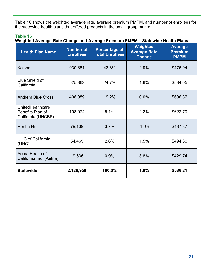Table 16 shows the weighted average rate, average premium PMPM, and number of enrollees for the statewide health plans that offered products in the small group market.

## **Table 16**

| <b>Health Plan Name</b>                                           | <b>Number of</b><br><b>Enrollees</b> | <b>Percentage of</b><br><b>Total Enrollees</b> | Weighted<br><b>Average Rate</b><br><b>Change</b> | <b>Average</b><br><b>Premium</b><br><b>PMPM</b> |
|-------------------------------------------------------------------|--------------------------------------|------------------------------------------------|--------------------------------------------------|-------------------------------------------------|
| Kaiser                                                            | 930,881                              | 43.8%                                          | 2.9%                                             | \$476.94                                        |
| <b>Blue Shield of</b><br>California                               | 525,862                              | 24.7%                                          | 1.6%                                             | \$584.05                                        |
| <b>Anthem Blue Cross</b>                                          | 408,089                              | 19.2%                                          | 0.0%                                             | \$606.82                                        |
| <b>UnitedHealthcare</b><br>Benefits Plan of<br>California (UHCBP) | 108,974                              | 5.1%                                           | 2.2%                                             | \$622.79                                        |
| <b>Health Net</b>                                                 | 79,139                               | 3.7%                                           | $-1.0%$                                          | \$487.37                                        |
| <b>UHC of California</b><br>(UHC)                                 | 54,469                               | 2.6%                                           | 1.5%                                             | \$494.30                                        |
| Aetna Health of<br>California Inc. (Aetna)                        | 19,536                               | 0.9%                                           | 3.8%                                             | \$429.74                                        |
| <b>Statewide</b>                                                  | 2,126,950                            | 100.0%                                         | 1.8%                                             | \$536.21                                        |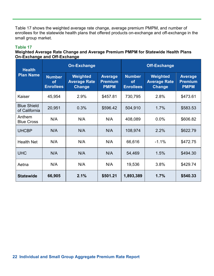Table 17 shows the weighted average rate change, average premium PMPM, and number of enrollees for the statewide health plans that offered products on-exchange and off-exchange in the small group market.

#### **Table 17**

## **Weighted Average Rate Change and Average Premium PMPM for Statewide Health Plans On-Exchange and Off-Exchange**

| <b>Health</b>                       | <b>On-Exchange</b>                             |                                           |                                                 | <b>Off-Exchange</b>                            |                                                  |                                                 |
|-------------------------------------|------------------------------------------------|-------------------------------------------|-------------------------------------------------|------------------------------------------------|--------------------------------------------------|-------------------------------------------------|
| <b>Plan Name</b>                    | <b>Number</b><br><b>of</b><br><b>Enrollees</b> | Weighted<br><b>Average Rate</b><br>Change | <b>Average</b><br><b>Premium</b><br><b>PMPM</b> | <b>Number</b><br><b>of</b><br><b>Enrollees</b> | Weighted<br><b>Average Rate</b><br><b>Change</b> | <b>Average</b><br><b>Premium</b><br><b>PMPM</b> |
| Kaiser                              | 45,954                                         | 2.9%                                      | \$457.81                                        | 730,795                                        | 2.8%                                             | \$473.61                                        |
| <b>Blue Shield</b><br>of California | 20,951                                         | 0.3%                                      | \$596.42                                        | 504,910                                        | 1.7%                                             | \$583.53                                        |
| Anthem<br><b>Blue Cross</b>         | N/A                                            | N/A                                       | N/A                                             | 408,089                                        | 0.0%                                             | \$606.82                                        |
| <b>UHCBP</b>                        | N/A                                            | N/A                                       | N/A                                             | 108,974                                        | 2.2%                                             | \$622.79                                        |
| <b>Health Net</b>                   | N/A                                            | N/A                                       | N/A                                             | 66,616                                         | $-1.1%$                                          | \$472.75                                        |
| <b>UHC</b>                          | N/A                                            | N/A                                       | N/A                                             | 54,469                                         | 1.5%                                             | \$494.30                                        |
| Aetna                               | N/A                                            | N/A                                       | N/A                                             | 19,536                                         | 3.8%                                             | \$429.74                                        |
| <b>Statewide</b>                    | 66,905                                         | 2.1%                                      | \$501.21                                        | 1,893,389                                      | 1.7%                                             | \$540.33                                        |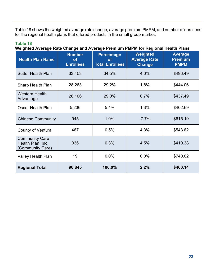Table 18 shows the weighted average rate change, average premium PMPM, and number of enrollees for the regional health plans that offered products in the small group market.

## **Table 18 Weighted Average Rate Change and Average Premium PMPM for Regional Health Plans**

| <b>Health Plan Name</b>                                        | <b>Number</b><br><b>of</b><br><b>Enrollees</b> | <b>Percentage</b><br>οf<br><b>Total Enrollees</b> | Weighted<br><b>Average Rate</b><br><b>Change</b> | <b>Average</b><br><b>Premium</b><br><b>PMPM</b> |
|----------------------------------------------------------------|------------------------------------------------|---------------------------------------------------|--------------------------------------------------|-------------------------------------------------|
| <b>Sutter Health Plan</b>                                      | 33,453                                         | 34.5%                                             | 4.0%                                             | \$496.49                                        |
| Sharp Health Plan                                              | 28,263                                         | 29.2%                                             | 1.8%                                             | \$444.06                                        |
| Western Health<br>Advantage                                    | 28,106                                         | 29.0%                                             | 0.7%                                             | \$437.49                                        |
| Oscar Health Plan                                              | 5,236                                          | 5.4%                                              | 1.3%                                             | \$402.69                                        |
| <b>Chinese Community</b>                                       | 945                                            | 1.0%                                              | $-7.7%$                                          | \$615.19                                        |
| County of Ventura                                              | 487                                            | 0.5%                                              | 4.3%                                             | \$543.82                                        |
| <b>Community Care</b><br>Health Plan, Inc.<br>(Community Care) | 336                                            | 0.3%                                              | 4.5%                                             | \$410.38                                        |
| Valley Health Plan                                             | 19                                             | 0.0%                                              | 0.0%                                             | \$740.02                                        |
| <b>Regional Total</b>                                          | 96,845                                         | 100.0%                                            | 2.2%                                             | \$460.14                                        |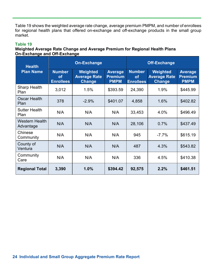Table 19 shows the weighted average rate change, average premium PMPM, and number of enrollees for regional health plans that offered on-exchange and off-exchange products in the small group market.

## **Table 19**

## **Weighted Average Rate Change and Average Premium for Regional Health Plans On-Exchange and Off-Exchange**

| <b>Health</b>                      | <b>On-Exchange</b>                             |                                           |                                                 | <b>Off-Exchange</b>                            |                                                  |                                                 |
|------------------------------------|------------------------------------------------|-------------------------------------------|-------------------------------------------------|------------------------------------------------|--------------------------------------------------|-------------------------------------------------|
| <b>Plan Name</b>                   | <b>Number</b><br><b>of</b><br><b>Enrollees</b> | Weighted<br><b>Average Rate</b><br>Change | <b>Average</b><br><b>Premium</b><br><b>PMPM</b> | <b>Number</b><br><b>of</b><br><b>Enrollees</b> | Weighted<br><b>Average Rate</b><br><b>Change</b> | <b>Average</b><br><b>Premium</b><br><b>PMPM</b> |
| <b>Sharp Health</b><br>Plan        | 3,012                                          | 1.5%                                      | \$393.59                                        | 24,390                                         | 1.9%                                             | \$445.99                                        |
| <b>Oscar Health</b><br>Plan        | 378                                            | $-2.9%$                                   | \$401.07                                        | 4,858                                          | 1.6%                                             | \$402.82                                        |
| <b>Sutter Health</b><br>Plan       | N/A                                            | N/A                                       | N/A                                             | 33,453                                         | 4.0%                                             | \$496.49                                        |
| <b>Western Health</b><br>Advantage | N/A                                            | N/A                                       | N/A                                             | 28,106                                         | 0.7%                                             | \$437.49                                        |
| Chinese<br>Community               | N/A                                            | N/A                                       | N/A                                             | 945                                            | $-7.7%$                                          | \$615.19                                        |
| County of<br>Ventura               | N/A                                            | N/A                                       | N/A                                             | 487                                            | 4.3%                                             | \$543.82                                        |
| Community<br>Care                  | N/A                                            | N/A                                       | N/A                                             | 336                                            | 4.5%                                             | \$410.38                                        |
| <b>Regional Total</b>              | 3,390                                          | 1.0%                                      | \$394.42                                        | 92,575                                         | 2.2%                                             | \$461.51                                        |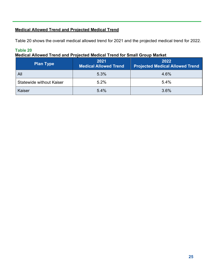## **Medical Allowed Trend and Projected Medical Trend**

Table 20 shows the overall medical allowed trend for 2021 and the projected medical trend for 2022.

## **Table 20**

## **Medical Allowed Trend and Projected Medical Trend for Small Group Market**

| <b>Plan Type</b>                | 2021<br><b>Medical Allowed Trend</b> | 2022<br><b>Projected Medical Allowed Trend</b> |
|---------------------------------|--------------------------------------|------------------------------------------------|
| All                             | 5.3%                                 | 4.6%                                           |
| <b>Statewide without Kaiser</b> | 5.2%                                 | 5.4%                                           |
| Kaiser                          | 5.4%                                 | 3.6%                                           |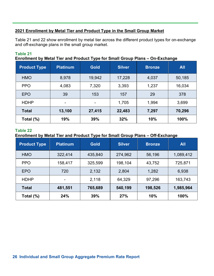## **2021 Enrollment by Metal Tier and Product Type in the Small Group Market**

Table 21 and 22 show enrollment by metal tier across the different product types for on-exchange and off-exchange plans in the small group market.

## **Table 21**

**Enrollment by Metal Tier and Product Type for Small Group Plans – On-Exchange** 

| <b>Product Type</b> | <b>Platinum</b>          | <b>Gold</b> | <b>Silver</b> | <b>Bronze</b> | <b>All</b> |
|---------------------|--------------------------|-------------|---------------|---------------|------------|
| <b>HMO</b>          | 8,978                    | 19,942      | 17,228        | 4,037         | 50,185     |
| <b>PPO</b>          | 4,083                    | 7,320       | 3,393         | 1,237         | 16,034     |
| <b>EPO</b>          | 39                       | 153         | 157           | 29            | 378        |
| <b>HDHP</b>         | $\overline{\phantom{a}}$ | ۰           | 1,705         | 1,994         | 3,699      |
| <b>Total</b>        | 13,100                   | 27,415      | 22,483        | 7,297         | 70,296     |
| Total (%)           | 19%                      | 39%         | 32%           | 10%           | 100%       |

#### **Table 22**

## **Enrollment by Metal Tier and Product Type for Small Group Plans – Off-Exchange**

| <b>Product Type</b> | <b>Platinum</b>          | <b>Gold</b> | <b>Silver</b> | <b>Bronze</b> | <b>All</b> |
|---------------------|--------------------------|-------------|---------------|---------------|------------|
| <b>HMO</b>          | 322,414                  | 435,840     | 274,962       | 56,196        | 1,089,412  |
| <b>PPO</b>          | 158,417                  | 325,599     | 198,104       | 43,752        | 725,871    |
| <b>EPO</b>          | 720                      | 2,132       | 2,804         | 1,282         | 6,938      |
| <b>HDHP</b>         | $\overline{\phantom{a}}$ | 2,118       | 64,329        | 97,296        | 163,743    |
| <b>Total</b>        | 481,551                  | 765,689     | 540,199       | 198,526       | 1,985,964  |
| Total (%)           | 24%                      | 39%         | 27%           | 10%           | 100%       |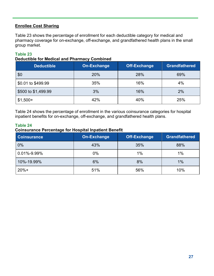## **Enrollee Cost Sharing**

Table 23 shows the percentage of enrollment for each deductible category for medical and pharmacy coverage for on-exchange, off-exchange, and grandfathered health plans in the small group market.

## **Table 23**

#### **Deductible for Medical and Pharmacy Combined**

| <b>Deductible</b>   | On-Exchange | <b>Off-Exchange</b> | <b>Grandfathered</b> |
|---------------------|-------------|---------------------|----------------------|
| \$0                 | 20%         | 28%                 | 69%                  |
| \$0.01 to \$499.99  | 35%         | 16%                 | 4%                   |
| \$500 to \$1,499.99 | 3%          | 16%                 | 2%                   |
| $$1,500+$           | 42%         | 40%                 | 25%                  |

Table 24 shows the percentage of enrollment in the various coinsurance categories for hospital inpatient benefits for on-exchange, off-exchange, and grandfathered health plans.

## **Table 24**

## **Coinsurance Percentage for Hospital Inpatient Benefit**

| <b>Coinsurance</b> | On-Exchange | <b>Off-Exchange</b> | <b>Grandfathered</b> |
|--------------------|-------------|---------------------|----------------------|
| 0%                 | 43%         | 35%                 | 88%                  |
| 0.01%-9.99%        | $0\%$       | 1%                  | 1%                   |
| 10%-19.99%         | 6%          | 8%                  | 1%                   |
| $20%+$             | 51%         | 56%                 | 10%                  |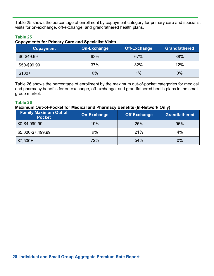Table 25 shows the percentage of enrollment by copayment category for primary care and specialist visits for on-exchange, off-exchange, and grandfathered health plans.

## **Table 25**

#### **Copayments for Primary Care and Specialist Visits**

| <b>Copayment</b> | On-Exchange | <b>Off-Exchange</b> | <b>Grandfathered</b> |
|------------------|-------------|---------------------|----------------------|
| \$0-\$49.99      | 63%         | 67%                 | 88%                  |
| \$50-\$99.99     | 37%         | 32%                 | 12%                  |
| $$100+$          | 0%          | 1%                  | 0%                   |

Table 26 shows the percentage of enrollment by the maximum out-of-pocket categories for medical and pharmacy benefits for on-exchange, off-exchange, and grandfathered health plans in the small group market.

## **Table 26**

#### **Maximum Out-of-Pocket for Medical and Pharmacy Benefits (In-Network Only)**

| <b>Family Maximum Out of</b><br><b>Pocket</b> | On-Exchange | <b>Off-Exchange</b> | <b>Grandfathered</b> |
|-----------------------------------------------|-------------|---------------------|----------------------|
| \$0-\$4,999.99                                | 19%         | 25%                 | 96%                  |
| \$5,000-\$7,499.99                            | 9%          | 21%                 | 4%                   |
| $$7,500+$                                     | 72%         | 54%                 | $0\%$                |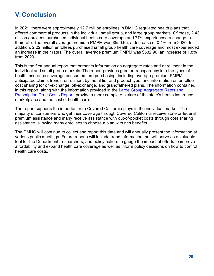## **V. Conclusion**

In 2021, there were approximately 12.7 million enrollees in DMHC regulated health plans that offered commercial products in the individual, small group, and large group markets. Of those, 2.43 million enrollees purchased individual health care coverage and 77% experienced a change to their rate. The overall average premium PMPM was \$550.95, a decrease of 0.4% from 2020. In addition, 2.22 million enrollees purchased small group health care coverage and most experienced an increase in their rates. The overall average premium PMPM was \$532.90, an increase of 1.8% from 2020.

This is the first annual report that presents information on aggregate rates and enrollment in the individual and small group markets. The report provides greater transparency into the types of health insurance coverage consumers are purchasing, including average premium PMPM, anticipated claims trends, enrollment by metal tier and product type, and information on enrollee cost sharing for on-exchange, off-exchange, and grandfathered plans. The information contained [in this report, along with the information provided in the Large Group Aggregate Rates and](https://www.dmhc.ca.gov/AbouttheDMHC/DMHCReports/PublicReports.aspx#largegroup) Prescription Drug Costs Report, provide a more complete picture of the state's health insurance marketplace and the cost of health care.

The report supports the important role Covered California plays in the individual market. The majority of consumers who get their coverage through Covered California receive state or federal premium assistance and many receive assistance with out-of-pocket costs through cost sharing assistance, allowing many enrollees to choose a plan with rich benefits.

The DMHC will continue to collect and report this data and will annually present the information at various public meetings. Future reports will include trend information that will serve as a valuable tool for the Department, researchers, and policymakers to gauge the impact of efforts to improve affordability and expand health care coverage as well as inform policy decisions on how to control health care costs.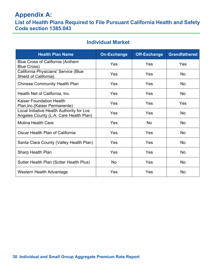## **Appendix A:**

**List of Health Plans Required to File Pursuant California Health and Safety Code section 1385.043**

## **Individual Market**

| <b>Health Plan Name</b>                                                             | <b>On-Exchange</b> | <b>Off-Exchange</b> | <b>Grandfathered</b> |
|-------------------------------------------------------------------------------------|--------------------|---------------------|----------------------|
| <b>Blue Cross of California (Anthem</b><br><b>Blue Cross)</b>                       | Yes                | Yes                 | Yes                  |
| California Physicians' Service (Blue<br>Shield of California)                       | Yes                | Yes                 | <b>No</b>            |
| <b>Chinese Community Health Plan</b>                                                | Yes                | Yes                 | No                   |
| Health Net of California, Inc.                                                      | Yes                | Yes                 | <b>No</b>            |
| <b>Kaiser Foundation Health</b><br>Plan, Inc. (Kaiser Permanente)                   | Yes                | Yes                 | Yes                  |
| Local Initiative Health Authority for Los<br>Angeles County (L.A. Care Health Plan) | Yes                | Yes                 | <b>No</b>            |
| <b>Molina Health Care</b>                                                           | Yes                | No                  | <b>No</b>            |
| Oscar Health Plan of California                                                     | Yes                | Yes                 | <b>No</b>            |
| Santa Clara County (Valley Health Plan)                                             | Yes                | Yes                 | <b>No</b>            |
| <b>Sharp Health Plan</b>                                                            | Yes                | Yes                 | <b>No</b>            |
| Sutter Health Plan (Sutter Health Plus)                                             | No                 | Yes                 | <b>No</b>            |
| Western Health Advantage                                                            | Yes                | Yes                 | <b>No</b>            |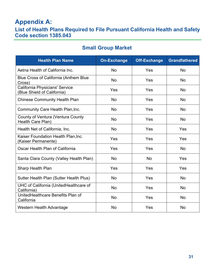## **Appendix A:**

## **List of Health Plans Required to File Pursuant California Health and Safety Code section 1385.043**

## **Small Group Market**

| <b>Health Plan Name</b>                                       | <b>On-Exchange</b> | <b>Off-Exchange</b> | <b>Grandfathered</b> |
|---------------------------------------------------------------|--------------------|---------------------|----------------------|
| Aetna Health of California Inc.                               | No                 | Yes                 | No                   |
| <b>Blue Cross of California (Anthem Blue</b><br>Cross)        | No                 | Yes                 | <b>No</b>            |
| California Physicians' Service<br>(Blue Shield of California) | Yes                | Yes                 | No                   |
| <b>Chinese Community Health Plan</b>                          | No                 | Yes                 | <b>No</b>            |
| <b>Community Care Health Plan, Inc.</b>                       | No                 | Yes                 | <b>No</b>            |
| <b>County of Ventura (Ventura County</b><br>Health Care Plan) | No                 | Yes                 | <b>No</b>            |
| Health Net of California, Inc.                                | <b>No</b>          | Yes                 | Yes                  |
| Kaiser Foundation Health Plan, Inc.<br>(Kaiser Permanente)    | Yes                | Yes                 | Yes                  |
| Oscar Health Plan of California                               | Yes                | Yes                 | No                   |
| Santa Clara County (Valley Health Plan)                       | No                 | No                  | Yes                  |
| <b>Sharp Health Plan</b>                                      | Yes                | Yes                 | Yes                  |
| Sutter Health Plan (Sutter Health Plus)                       | No                 | Yes                 | <b>No</b>            |
| UHC of California (UnitedHealthcare of<br>California)         | No                 | Yes                 | <b>No</b>            |
| UnitedHealthcare Benefits Plan of<br>California               | <b>No</b>          | Yes                 | <b>No</b>            |
| Western Health Advantage                                      | <b>No</b>          | Yes                 | <b>No</b>            |